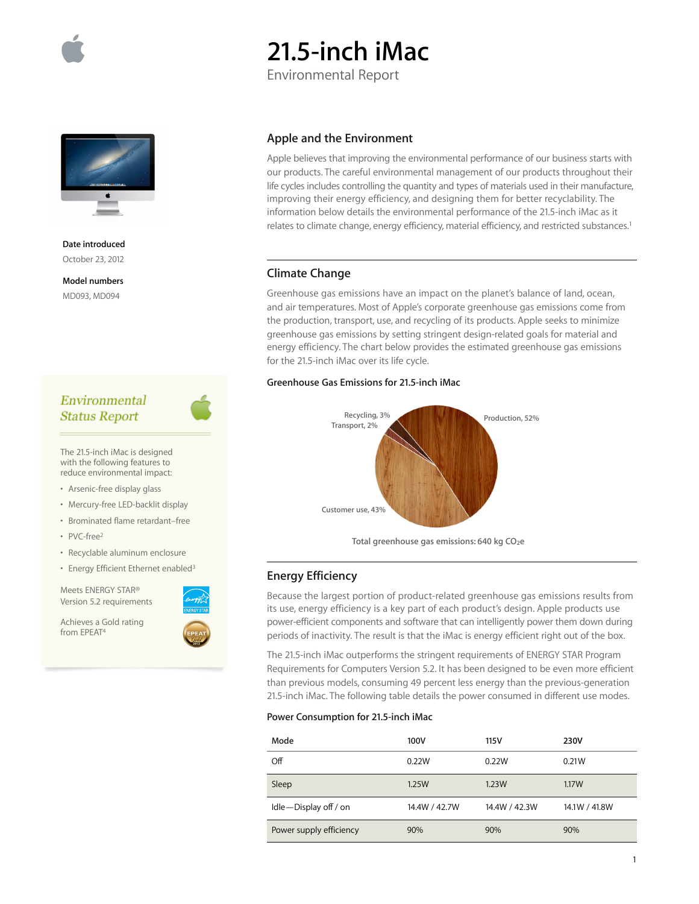

# **21.5-inch iMac**

Environmental Report



**Date introduced** October 23, 2012

**Model numbers** MD093, MD094

# Environmental **Status Report**

The 21.5-inch iMac is designed with the following features to reduce environmental impact:

- Arsenic-free display glass
- Mercury-free LED-backlit display
- Brominated flame retardant–free
- PVC-free2
- Recyclable aluminum enclosure
- Energy Efficient Ethernet enabled<sup>3</sup>

Meets ENERGY STAR® Version 5.2 requirements

Achieves a Gold rating from EPEAT<sup>4</sup>



## **Apple and the Environment**

Apple believes that improving the environmental performance of our business starts with our products. The careful environmental management of our products throughout their life cycles includes controlling the quantity and types of materials used in their manufacture, improving their energy efficiency, and designing them for better recyclability. The information below details the environmental performance of the 21.5-inch iMac as it relates to climate change, energy efficiency, material efficiency, and restricted substances.<sup>1</sup>

## **Climate Change**

Greenhouse gas emissions have an impact on the planet's balance of land, ocean, and air temperatures. Most of Apple's corporate greenhouse gas emissions come from the production, transport, use, and recycling of its products. Apple seeks to minimize greenhouse gas emissions by setting stringent design-related goals for material and energy efficiency. The chart below provides the estimated greenhouse gas emissions for the 21.5-inch iMac over its life cycle.

## **Greenhouse Gas Emissions for 21.5-inch iMac**



Total greenhouse gas emissions: 640 kg CO<sub>2</sub>e

## **Energy Efficiency**

Because the largest portion of product-related greenhouse gas emissions results from its use, energy efficiency is a key part of each product's design. Apple products use power-efficient components and software that can intelligently power them down during periods of inactivity. The result is that the iMac is energy efficient right out of the box.

The 21.5-inch iMac outperforms the stringent requirements of ENERGY STAR Program Requirements for Computers Version 5.2. It has been designed to be even more efficient than previous models, consuming 49 percent less energy than the previous-generation 21.5-inch iMac. The following table details the power consumed in different use modes.

#### **Power Consumption for 21.5-inch iMac**

| Mode                    | 100V          | 115V          | 230V          |
|-------------------------|---------------|---------------|---------------|
| Off                     | 0.22W         | 0.22W         | 0.21W         |
| Sleep                   | 1.25W         | 1.23W         | 1.17W         |
| Idle-Display off / on   | 14.4W / 42.7W | 14.4W / 42.3W | 14.1W / 41.8W |
| Power supply efficiency | 90%           | 90%           | 90%           |

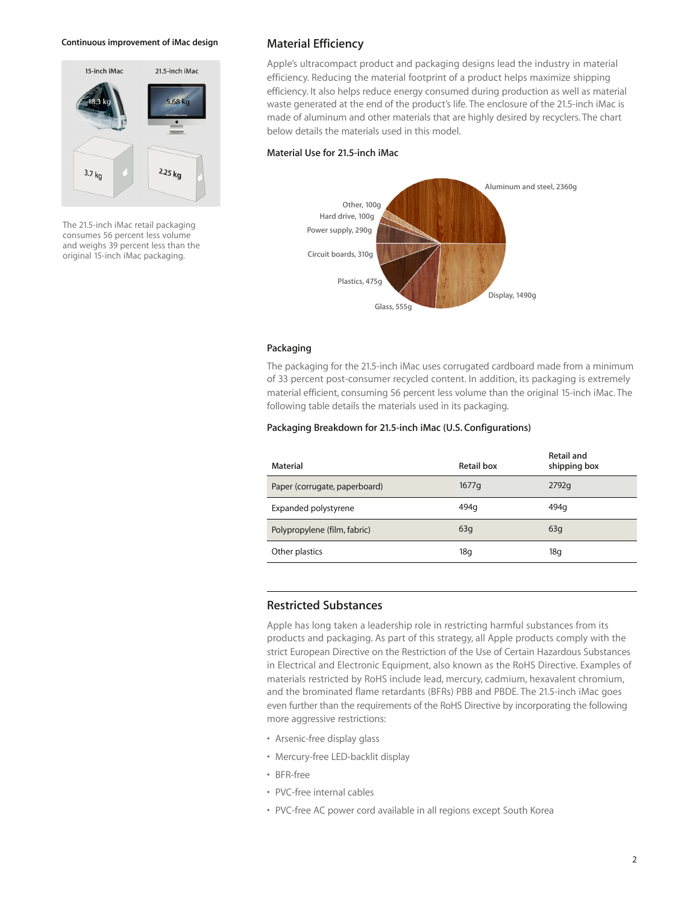#### **Continuous improvement of iMac design**



The 21.5-inch iMac retail packaging consumes 56 percent less volume and weighs 39 percent less than the original 15-inch iMac packaging.

## **Material Efficiency**

Apple's ultracompact product and packaging designs lead the industry in material efficiency. Reducing the material footprint of a product helps maximize shipping efficiency. It also helps reduce energy consumed during production as well as material waste generated at the end of the product's life. The enclosure of the 21.5-inch iMac is made of aluminum and other materials that are highly desired by recyclers. The chart below details the materials used in this model.

#### **Material Use for 21.5-inch iMac**



#### **Packaging**

The packaging for the 21.5-inch iMac uses corrugated cardboard made from a minimum of 33 percent post-consumer recycled content. In addition, its packaging is extremely material efficient, consuming 56 percent less volume than the original 15-inch iMac. The following table details the materials used in its packaging.

### **Packaging Breakdown for 21.5-inch iMac (U.S. Configurations)**

| Material                      | Retail box | <b>Retail and</b><br>shipping box |
|-------------------------------|------------|-----------------------------------|
| Paper (corrugate, paperboard) | 1677q      | 2792q                             |
| Expanded polystyrene          | 494q       | 494q                              |
| Polypropylene (film, fabric)  | 63q        | 63q                               |
| Other plastics                | 18g        | 18q                               |

## **Restricted Substances**

Apple has long taken a leadership role in restricting harmful substances from its products and packaging. As part of this strategy, all Apple products comply with the strict European Directive on the Restriction of the Use of Certain Hazardous Substances in Electrical and Electronic Equipment, also known as the RoHS Directive. Examples of materials restricted by RoHS include lead, mercury, cadmium, hexavalent chromium, and the brominated flame retardants (BFRs) PBB and PBDE. The 21.5-inch iMac goes even further than the requirements of the RoHS Directive by incorporating the following more aggressive restrictions:

- Arsenic-free display glass
- Mercury-free LED-backlit display
- BFR-free
- PVC-free internal cables
- PVC-free AC power cord available in all regions except South Korea